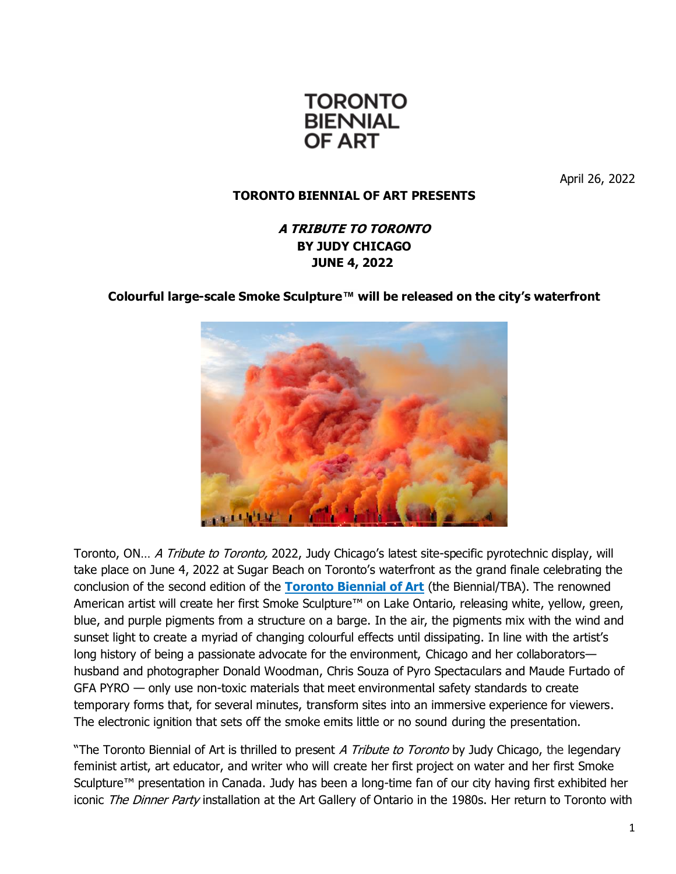

April 26, 2022

# **TORONTO BIENNIAL OF ART PRESENTS**

# **A TRIBUTE TO TORONTO BY JUDY CHICAGO JUNE 4, 2022**

## **Colourful large-scale Smoke Sculpture™ will be released on the city's waterfront**



Toronto, ON… A Tribute to Toronto, 2022, Judy Chicago's latest site-specific pyrotechnic display, will take place on June 4, 2022 at Sugar Beach on Toronto's waterfront as the grand finale celebrating the conclusion of the second edition of the **[Toronto Biennial of Art](https://torontobiennial.org/)** (the Biennial/TBA). The renowned American artist will create her first Smoke Sculpture<sup>™</sup> on Lake Ontario, releasing white, yellow, green, blue, and purple pigments from a structure on a barge. In the air, the pigments mix with the wind and sunset light to create a myriad of changing colourful effects until dissipating. In line with the artist's long history of being a passionate advocate for the environment, Chicago and her collaborators husband and photographer Donald Woodman, Chris Souza of Pyro Spectaculars and Maude Furtado of GFA PYRO — only use non-toxic materials that meet environmental safety standards to create temporary forms that, for several minutes, transform sites into an immersive experience for viewers. The electronic ignition that sets off the smoke emits little or no sound during the presentation.

"The Toronto Biennial of Art is thrilled to present A Tribute to Toronto by Judy Chicago, the legendary feminist artist, art educator, and writer who will create her first project on water and her first Smoke Sculpture™ presentation in Canada. Judy has been a long-time fan of our city having first exhibited her iconic The Dinner Party installation at the Art Gallery of Ontario in the 1980s. Her return to Toronto with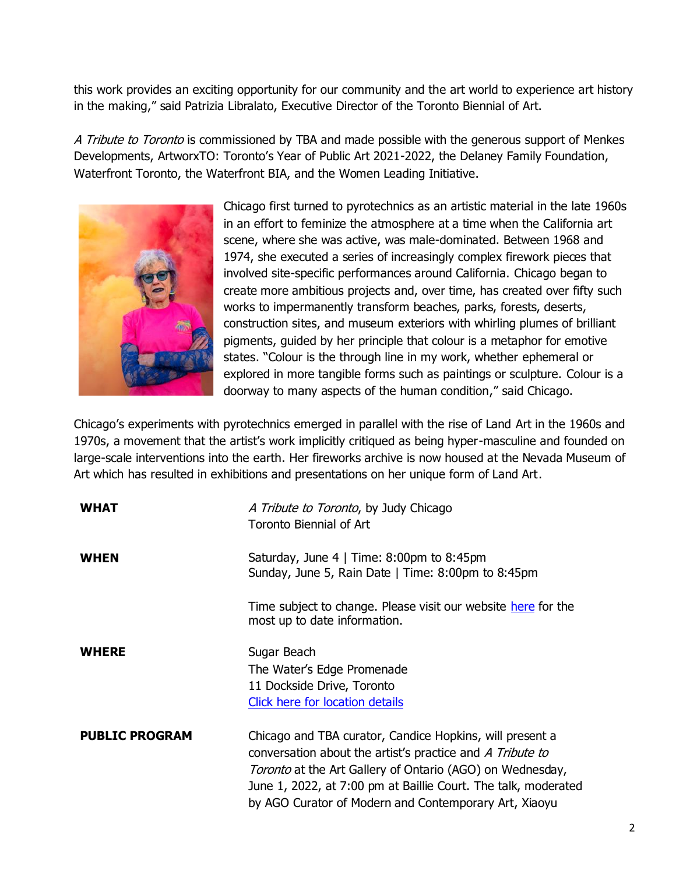this work provides an exciting opportunity for our community and the art world to experience art history in the making," said Patrizia Libralato, Executive Director of the Toronto Biennial of Art.

A Tribute to Toronto is commissioned by TBA and made possible with the generous support of Menkes Developments, ArtworxTO: Toronto's Year of Public Art 2021-2022, the Delaney Family Foundation, Waterfront Toronto, the Waterfront BIA, and the Women Leading Initiative.



Chicago first turned to pyrotechnics as an artistic material in the late 1960s in an effort to feminize the atmosphere at a time when the California art scene, where she was active, was male-dominated. Between 1968 and 1974, she executed a series of increasingly complex firework pieces that involved site-specific performances around California. Chicago began to create more ambitious projects and, over time, has created over fifty such works to impermanently transform beaches, parks, forests, deserts, construction sites, and museum exteriors with whirling plumes of brilliant pigments, guided by her principle that colour is a metaphor for emotive states. "Colour is the through line in my work, whether ephemeral or explored in more tangible forms such as paintings or sculpture. Colour is a doorway to many aspects of the human condition," said Chicago.

Chicago's experiments with pyrotechnics emerged in parallel with the rise of Land Art in the 1960s and 1970s, a movement that the artist's work implicitly critiqued as being hyper-masculine and founded on large-scale interventions into the earth. Her fireworks archive is now housed at the Nevada Museum of Art which has resulted in exhibitions and presentations on her unique form of Land Art.

| <b>WHAT</b>           | A Tribute to Toronto, by Judy Chicago<br><b>Toronto Biennial of Art</b>                                                                                                                                                                                                                                       |
|-----------------------|---------------------------------------------------------------------------------------------------------------------------------------------------------------------------------------------------------------------------------------------------------------------------------------------------------------|
| <b>WHEN</b>           | Saturday, June $4 \mid$ Time: 8:00pm to 8:45pm<br>Sunday, June 5, Rain Date   Time: 8:00pm to 8:45pm                                                                                                                                                                                                          |
|                       | Time subject to change. Please visit our website here for the<br>most up to date information.                                                                                                                                                                                                                 |
| <b>WHERE</b>          | Sugar Beach                                                                                                                                                                                                                                                                                                   |
|                       | The Water's Edge Promenade                                                                                                                                                                                                                                                                                    |
|                       | 11 Dockside Drive, Toronto                                                                                                                                                                                                                                                                                    |
|                       | <b>Click here for location details</b>                                                                                                                                                                                                                                                                        |
| <b>PUBLIC PROGRAM</b> | Chicago and TBA curator, Candice Hopkins, will present a<br>conversation about the artist's practice and A Tribute to<br>Toronto at the Art Gallery of Ontario (AGO) on Wednesday,<br>June 1, 2022, at 7:00 pm at Baillie Court. The talk, moderated<br>by AGO Curator of Modern and Contemporary Art, Xiaoyu |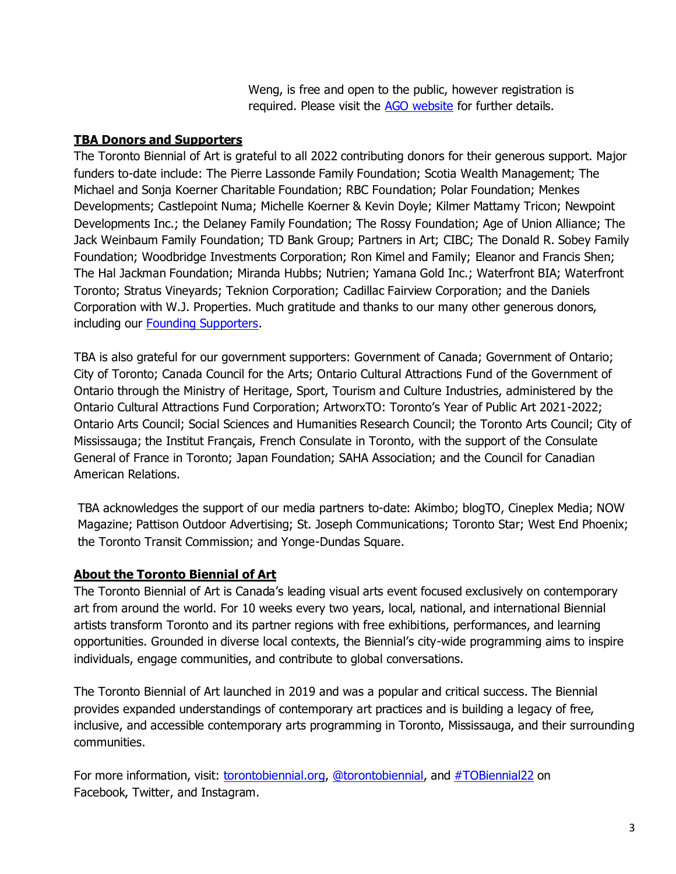Weng, is free and open to the public, however registration is required. Please visit the [AGO website](https://ago.ca/events/judy-chicago-conversation) for further details.

#### **TBA Donors and Supporters**

The Toronto Biennial of Art is grateful to all 2022 contributing donors for their generous support. Major funders to-date include: The Pierre Lassonde Family Foundation; Scotia Wealth Management; The Michael and Sonja Koerner Charitable Foundation; RBC Foundation; Polar Foundation; Menkes Developments; Castlepoint Numa; Michelle Koerner & Kevin Doyle; Kilmer Mattamy Tricon; Newpoint Developments Inc.; the Delaney Family Foundation; The Rossy Foundation; Age of Union Alliance; The Jack Weinbaum Family Foundation; TD Bank Group; Partners in Art; CIBC; The Donald R. Sobey Family Foundation; Woodbridge Investments Corporation; Ron Kimel and Family; Eleanor and Francis Shen; The Hal Jackman Foundation; Miranda Hubbs; Nutrien; Yamana Gold Inc.; Waterfront BIA; Waterfront Toronto; Stratus Vineyards; Teknion Corporation; Cadillac Fairview Corporation; and the Daniels Corporation with W.J. Properties. Much gratitude and thanks to our many other generous donors, including our [Founding Supporters.](https://torontobiennial.org/donors-and-supporters/)

TBA is also grateful for our government supporters: Government of Canada; Government of Ontario; City of Toronto; Canada Council for the Arts; Ontario Cultural Attractions Fund of the Government of Ontario through the Ministry of Heritage, Sport, Tourism and Culture Industries, administered by the Ontario Cultural Attractions Fund Corporation; ArtworxTO: Toronto's Year of Public Art 2021-2022; Ontario Arts Council; Social Sciences and Humanities Research Council; the Toronto Arts Council; City of Mississauga; the Institut Français, French Consulate in Toronto, with the support of the Consulate General of France in Toronto; Japan Foundation; SAHA Association; and the Council for Canadian American Relations.

TBA acknowledges the support of our media partners to-date: Akimbo; blogTO, Cineplex Media; NOW Magazine; Pattison Outdoor Advertising; St. Joseph Communications; Toronto Star; West End Phoenix; the Toronto Transit Commission; and Yonge-Dundas Square.

#### **About the Toronto Biennial of Art**

The Toronto Biennial of Art is Canada's leading visual arts event focused exclusively on contemporary art from around the world. For 10 weeks every two years, local, national, and international Biennial artists transform Toronto and its partner regions with free exhibitions, performances, and learning opportunities. Grounded in diverse local contexts, the Biennial's city-wide programming aims to inspire individuals, engage communities, and contribute to global conversations.

The Toronto Biennial of Art launched in 2019 and was a popular and critical success. The Biennial provides expanded understandings of contemporary art practices and is building a legacy of free, inclusive, and accessible contemporary arts programming in Toronto, Mississauga, and their surrounding communities.

For more information, visit: torontobiennial.org, @torontobiennial, and #TOBiennial22 on Facebook, Twitter, and Instagram.